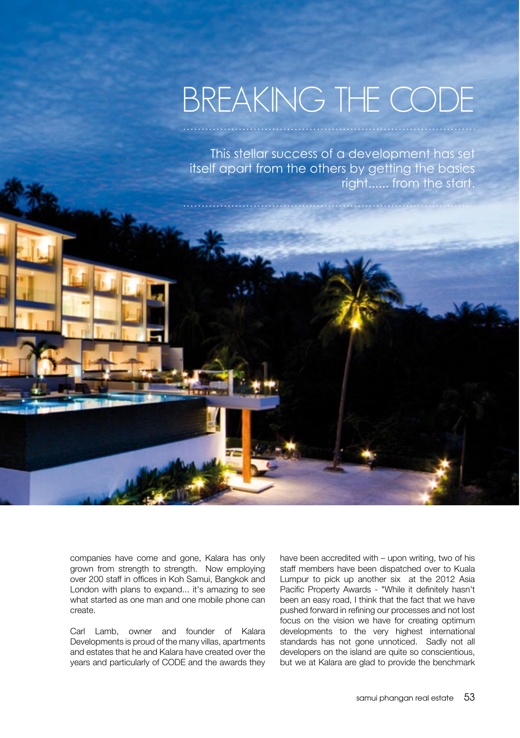## BREAKING THE CODE

This stellar success of a development has set itself apart from the others by getting the basics right...... from the start.

. . . . . . . . . . . . . . .

companies have come and gone, Kalara has only grown from strength to strength. Now employing over 200 staff in offices in Koh Samui. Bangkok and London with plans to expand... it's amazing to see what started as one man and one mobile phone can create.

Carl Lamb, owner and founder of Kalara Developments is proud of the many villas, apartments and estates that he and Kalara have created over the years and particularly of CODE and the awards they have been accredited with – upon writing, two of his staff members have been dispatched over to Kuala Lumpur to pick up another six at the 2012 Asia Pacific Property Awards - "While it definitely hasn't been an easy road, I think that the fact that we have pushed forward in refining our processes and not lost focus on the vision we have for creating optimum developments to the very highest international standards has not gone unnoticed. Sadly not all developers on the island are quite so conscientious, but we at Kalara are glad to provide the benchmark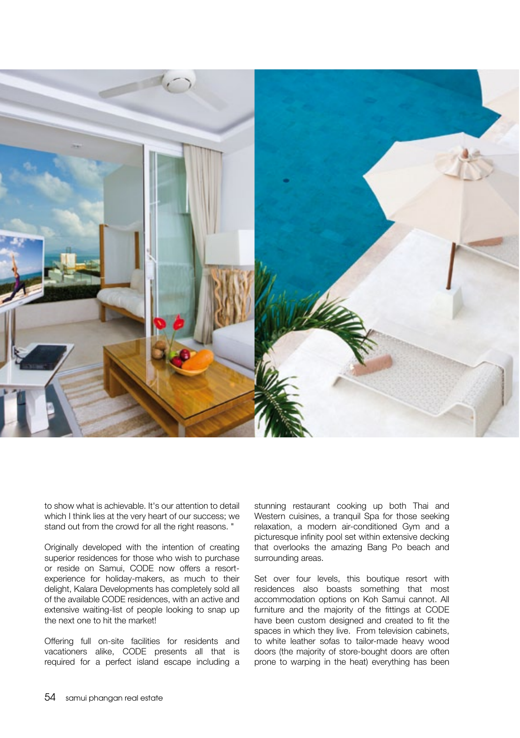

to show what is achievable. It's our attention to detail which I think lies at the very heart of our success; we stand out from the crowd for all the right reasons. "

Originally developed with the intention of creating superior residences for those who wish to purchase or reside on Samui, CODE now offers a resortexperience for holiday-makers, as much to their delight, Kalara Developments has completely sold all of the available CODE residences, with an active and extensive waiting-list of people looking to snap up the next one to hit the market!

Offering full on-site facilities for residents and vacationers alike, CODE presents all that is required for a perfect island escape including a

stunning restaurant cooking up both Thai and Western cuisines, a tranquil Spa for those seeking relaxation, a modern air-conditioned Gym and a picturesque infinity pool set within extensive decking that overlooks the amazing Bang Po beach and surrounding areas.

Set over four levels, this boutique resort with residences also boasts something that most accommodation options on Koh Samui cannot. All furniture and the majority of the fittings at CODE have been custom designed and created to fit the spaces in which they live. From television cabinets, to white leather sofas to tailor-made heavy wood doors (the majority of store-bought doors are often prone to warping in the heat) everything has been